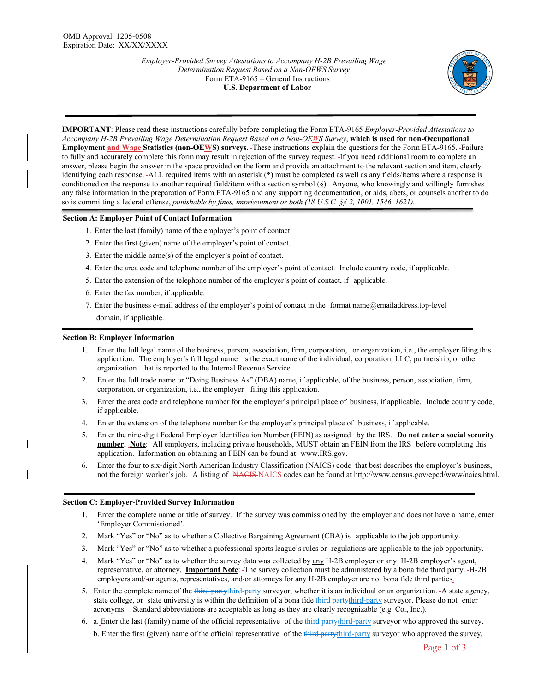

**IMPORTANT**: Please read these instructions carefully before completing the Form ETA-9165 *Employer-Provided Attestations to Accompany H-2B Prevailing Wage Determination Request Based on a Non-OEWS Survey*, **which is used for non-Occupational Employment and Wage Statistics (non-OEWS) surveys**. These instructions explain the questions for the Form ETA-9165. Failure to fully and accurately complete this form may result in rejection of the survey request. If you need additional room to complete an answer, please begin the answer in the space provided on the form and provide an attachment to the relevant section and item, clearly identifying each response. ALL required items with an asterisk (\*) must be completed as well as any fields/items where a response is conditioned on the response to another required field/item with a section symbol  $(\S)$ . Anyone, who knowingly and willingly furnishes any false information in the preparation of Form ETA-9165 and any supporting documentation, or aids, abets, or counsels another to do so is committing a federal offense, *punishable by fines, imprisonment or both (18 U.S.C. §§ 2, 1001, 1546, 1621).*

### **Section A: Employer Point of Contact Information**

- 1. Enter the last (family) name of the employer's point of contact.
- 2. Enter the first (given) name of the employer's point of contact.
- 3. Enter the middle name(s) of the employer's point of contact.
- 4. Enter the area code and telephone number of the employer's point of contact. Include country code, if applicable.
- 5. Enter the extension of the telephone number of the employer's point of contact, if applicable.
- 6. Enter the fax number, if applicable.
- 7. Enter the business e-mail address of the employer's point of contact in the format name@emailaddress.top-level domain, if applicable.

#### **Section B: Employer Information**

- 1. Enter the full legal name of the business, person, association, firm, corporation, or organization, i.e., the employer filing this application. The employer's full legal name is the exact name of the individual, corporation, LLC, partnership, or other organization that is reported to the Internal Revenue Service.
- 2. Enter the full trade name or "Doing Business As" (DBA) name, if applicable, of the business, person, association, firm, corporation, or organization, i.e., the employer filing this application.
- 3. Enter the area code and telephone number for the employer's principal place of business, if applicable. Include country code, if applicable.
- 4. Enter the extension of the telephone number for the employer's principal place of business, if applicable.
- 5. Enter the nine-digit Federal Employer Identification Number (FEIN) as assigned by the IRS. **Do not enter a social security number. Note**: All employers, including private households, MUST obtain an FEIN from the IRS before completing this application. Information on obtaining an FEIN can be found at www.IRS.gov.
- 6. Enter the four to six-digit North American Industry Classification (NAICS) code that best describes the employer's business, not the foreign worker's job. A listing of NACIS NAICS codes can be found at http://www.census.gov/epcd/www/naics.html.

#### **Section C: Employer-Provided Survey Information**

- 1. Enter the complete name or title of survey. If the survey was commissioned by the employer and does not have a name, enter 'Employer Commissioned'.
- 2. Mark "Yes" or "No" as to whether a Collective Bargaining Agreement (CBA) is applicable to the job opportunity.
- 3. Mark "Yes" or "No" as to whether a professional sports league's rules or regulations are applicable to the job opportunity.
- 4. Mark "Yes" or "No" as to whether the survey data was collected by  $\frac{any}{arg} H-2B$  employer or any H-2B employer's agent, representative, or attorney. **Important Note**: The survey collection must be administered by a bona fide third party. H-2B employers and/-or agents, representatives, and/or attorneys for any H-2B employer are not bona fide third parties.
- 5. Enter the complete name of the third partythird-party surveyor, whether it is an individual or an organization. -A state agency, state college, or state university is within the definition of a bona fide third-partythird-party surveyor. Please do not enter acronyms. - Standard abbreviations are acceptable as long as they are clearly recognizable (e.g. Co., Inc.).
- 6. a. Enter the last (family) name of the official representative of the third partythird-party surveyor who approved the survey.

b. Enter the first (given) name of the official representative of the third-party fluid-party surveyor who approved the survey.

Page 1 of 3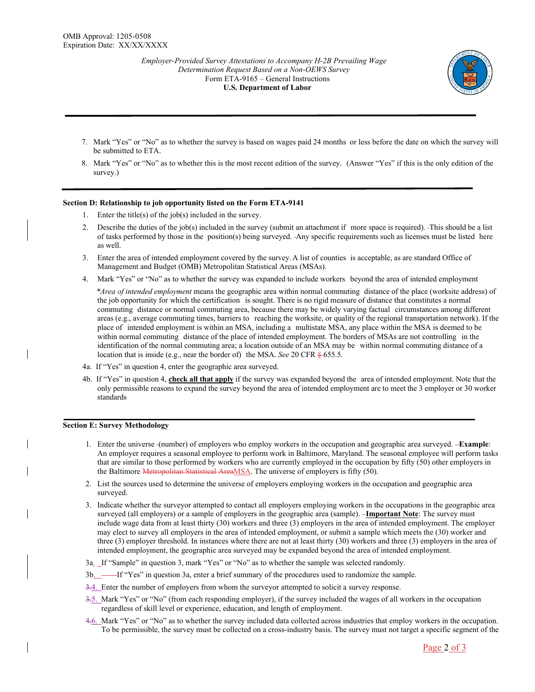

- 7. Mark "Yes" or "No" as to whether the survey is based on wages paid 24 months or less before the date on which the survey will be submitted to ETA.
- 8. Mark "Yes" or "No" as to whether this is the most recent edition of the survey. (Answer "Yes" if this is the only edition of the survey.)

## **Section D: Relationship to job opportunity listed on the Form ETA-9141**

- 1. Enter the title(s) of the job(s) included in the survey.
- 2. Describe the duties of the job(s) included in the survey (submit an attachment if more space is required). This should be a list of tasks performed by those in the position(s) being surveyed. Any specific requirements such as licenses must be listed here as well.
- 3. Enter the area of intended employment covered by the survey. A list of counties is acceptable, as are standard Office of Management and Budget (OMB) Metropolitan Statistical Areas (MSAs).
- 4. Mark "Yes" or "No" as to whether the survey was expanded to include workers beyond the area of intended employment

 *\*Area of intended employment* means the geographic area within normal commuting distance of the place (worksite address) of the job opportunity for which the certification is sought. There is no rigid measure of distance that constitutes a normal commuting distance or normal commuting area, because there may be widely varying factual circumstances among different areas (e.g., average commuting times, barriers to reaching the worksite, or quality of the regional transportation network). If the place of intended employment is within an MSA, including a multistate MSA, any place within the MSA is deemed to be within normal commuting distance of the place of intended employment. The borders of MSAs are not controlling in the identification of the normal commuting area; a location outside of an MSA may be within normal commuting distance of a location that is inside (e.g., near the border of) the MSA. *See* 20 CFR § 655.5.

- 4a. If "Yes" in question 4, enter the geographic area surveyed.
- 4b. If "Yes" in question 4, **check all that apply** if the survey was expanded beyond the area of intended employment. Note that the only permissible reasons to expand the survey beyond the area of intended employment are to meet the 3 employer or 30 worker standards

# **Section E: Survey Methodology**

- 1. Enter the universe (number) of employers who employ workers in the occupation and geographic area surveyed. **Example**: An employer requires a seasonal employee to perform work in Baltimore, Maryland. The seasonal employee will perform tasks that are similar to those performed by workers who are currently employed in the occupation by fifty (50) other employers in the Baltimore Metropolitan Statistical AreaMSA. The universe of employers is fifty (50).
- 2. List the sources used to determine the universe of employers employing workers in the occupation and geographic area surveyed.
- 3. Indicate whether the surveyor attempted to contact all employers employing workers in the occupations in the geographic area surveyed (all employers) or a sample of employers in the geographic area (sample). **-Important Note**: The survey must include wage data from at least thirty (30) workers and three (3) employers in the area of intended employment. The employer may elect to survey all employers in the area of intended employment, or submit a sample which meets the (30) worker and three (3) employer threshold. In instances where there are not at least thirty (30) workers and three (3) employers in the area of intended employment, the geographic area surveyed may be expanded beyond the area of intended employment.
- 3a. If "Sample" in question 3, mark "Yes" or "No" as to whether the sample was selected randomly.
- 3b. If "Yes" in question 3a, enter a brief summary of the procedures used to randomize the sample.
- 3.4. Enter the number of employers from whom the surveyor attempted to solicit a survey response.
- 3.5. Mark "Yes" or "No" (from each responding employer), if the survey included the wages of all workers in the occupation regardless of skill level or experience, education, and length of employment.
- 4.6. Mark "Yes" or "No" as to whether the survey included data collected across industries that employ workers in the occupation. To be permissible, the survey must be collected on a cross-industry basis. The survey must not target a specific segment of the